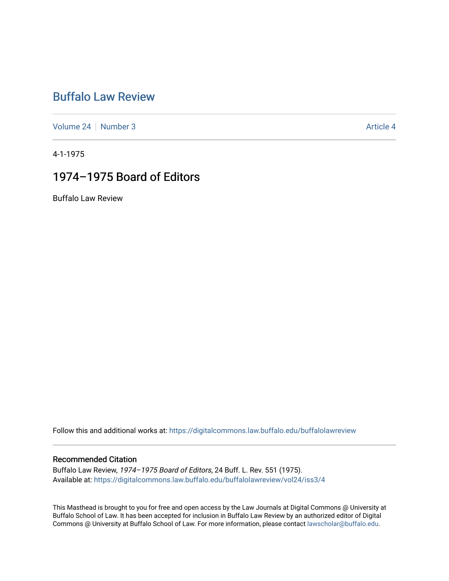# [Buffalo Law Review](https://digitalcommons.law.buffalo.edu/buffalolawreview)

[Volume 24](https://digitalcommons.law.buffalo.edu/buffalolawreview/vol24) | [Number 3](https://digitalcommons.law.buffalo.edu/buffalolawreview/vol24/iss3) Article 4

4-1-1975

# 1974–1975 Board of Editors

Buffalo Law Review

Follow this and additional works at: [https://digitalcommons.law.buffalo.edu/buffalolawreview](https://digitalcommons.law.buffalo.edu/buffalolawreview?utm_source=digitalcommons.law.buffalo.edu%2Fbuffalolawreview%2Fvol24%2Fiss3%2F4&utm_medium=PDF&utm_campaign=PDFCoverPages) 

#### Recommended Citation

Buffalo Law Review, 1974–1975 Board of Editors, 24 Buff. L. Rev. 551 (1975). Available at: [https://digitalcommons.law.buffalo.edu/buffalolawreview/vol24/iss3/4](https://digitalcommons.law.buffalo.edu/buffalolawreview/vol24/iss3/4?utm_source=digitalcommons.law.buffalo.edu%2Fbuffalolawreview%2Fvol24%2Fiss3%2F4&utm_medium=PDF&utm_campaign=PDFCoverPages) 

This Masthead is brought to you for free and open access by the Law Journals at Digital Commons @ University at Buffalo School of Law. It has been accepted for inclusion in Buffalo Law Review by an authorized editor of Digital Commons @ University at Buffalo School of Law. For more information, please contact [lawscholar@buffalo.edu](mailto:lawscholar@buffalo.edu).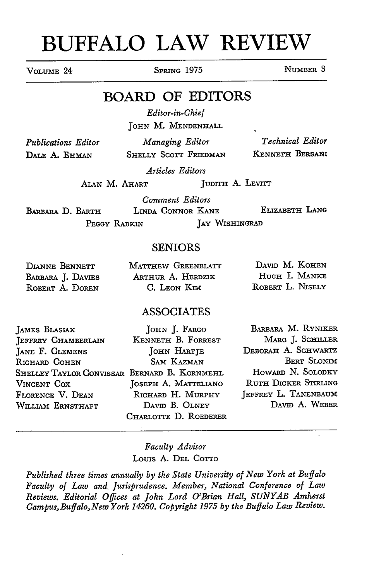# **BUFFALO LAW REVIEW**

**VOLUME** 24 SPRING **1975** NUMBER **3**

## BOARD OF EDITORS

*Editor-in-Chief* JOHN M. MENDENHALL

*Publications Editor* **DALE A. EHMAN**

*Managing Editor* SHELLY SCOTT FRIEDMAN

*Technical Editor* **KENNETH** BERSANI

*Articles Editors*

ALAN M. AHART JUDITH **A.** LEVITT

**BARBARA D.** BARTH **LII PEGGY** RABKIN *Comment Editors* LINDA CONNOR KANE ELIZABETH LANG JAY WISHINGRAD

## SENIORS

| DIANNE BENNETT    | MATTHEW GREENBLATT |                  | DAVID M. KOHEN |
|-------------------|--------------------|------------------|----------------|
| BARBARA J. DAVIES | ARTHUR A. HERDZIK  |                  | HUGH I. MANKE  |
| ROBERT A. DOREN   | C. LEON KIM        | ROBERT L. NISELY |                |

## ASSOCIATES

| JOHN J. FARGO                                | BARBARA M. RYNIKER          |
|----------------------------------------------|-----------------------------|
| KENNETH B. FORREST                           | MARC J. SCHILLER            |
| JOHN HARTJE                                  | DEBORAH A. SCHWARTZ         |
| SAM KAZMAN                                   | <b>BERT SLONIM</b>          |
| SHELLEY TAYLOR CONVISSAR BERNARD B. KORNMEHL | HOWARD N. SOLODKY           |
| JOSEPH A. MATTELIANO                         | <b>RUTH DICKER STIRLING</b> |
| RICHARD H. MURPHY                            | JEFFREY L. TANENBAUM        |
| DAVID B. OLNEY                               | DAVID A. WEBER              |
| CHARLOTTE D. ROEDERER                        |                             |
|                                              |                             |

## *Faculty Advisor* Louis A. DEL COTTO

*Published three times annually by the State University of New York at Buffalo Faculty of Law and, Jurisprudence. Member, National Conference of Law Reviews. Editorial Ofices at John Lord O'Brian Hall, SUNYAB Amherst Campus, Buffalo, New York 14260. Copyright 1975 by the Buffalo Law Review.*